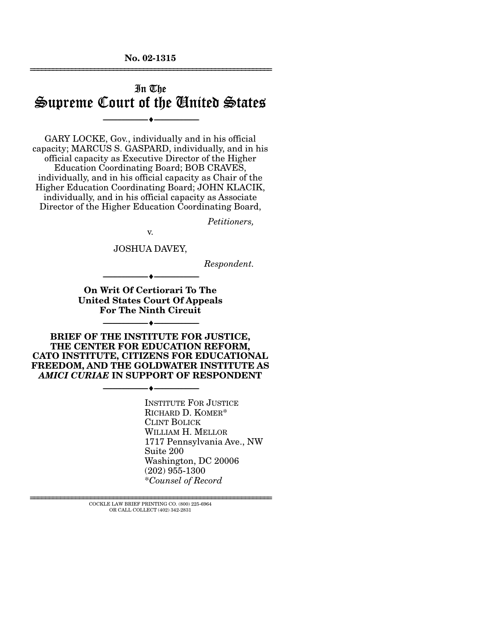**No. 02-1315**  ================================================================

# In The Supreme Court of the United States

--------------------------------- ♦ ---------------------------------

GARY LOCKE, Gov., individually and in his official capacity; MARCUS S. GASPARD, individually, and in his official capacity as Executive Director of the Higher Education Coordinating Board; BOB CRAVES, individually, and in his official capacity as Chair of the Higher Education Coordinating Board; JOHN KLACIK, individually, and in his official capacity as Associate Director of the Higher Education Coordinating Board,

*Petitioners,* 

v.

JOSHUA DAVEY,

*Respondent.* 

**On Writ Of Certiorari To The United States Court Of Appeals For The Ninth Circuit** 

--------------------------------- ♦ ---------------------------------

--------------------------------- ♦ ---------------------------------

**BRIEF OF THE INSTITUTE FOR JUSTICE, THE CENTER FOR EDUCATION REFORM, CATO INSTITUTE, CITIZENS FOR EDUCATIONAL FREEDOM, AND THE GOLDWATER INSTITUTE AS**  *AMICI CURIAE* **IN SUPPORT OF RESPONDENT** 

--------------------------------- ♦ ---------------------------------

INSTITUTE FOR JUSTICE RICHARD D. KOMER\* CLINT BOLICK WILLIAM H. MELLOR 1717 Pennsylvania Ave., NW Suite 200 Washington, DC 20006 (202) 955-1300 \**Counsel of Record*

================================================================ COCKLE LAW BRIEF PRINTING CO. (800) 225-6964 OR CALL COLLECT (402) 342-2831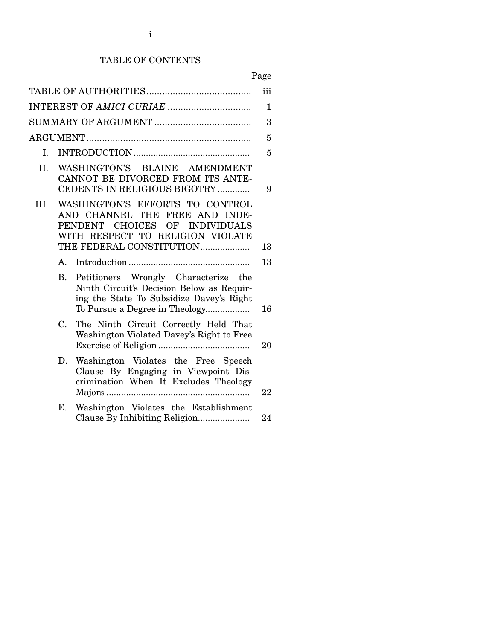## TABLE OF CONTENTS

# Page

|      | iii         |                                                                                                                                                                     |    |  |  |
|------|-------------|---------------------------------------------------------------------------------------------------------------------------------------------------------------------|----|--|--|
|      |             |                                                                                                                                                                     |    |  |  |
|      | 3           |                                                                                                                                                                     |    |  |  |
|      |             |                                                                                                                                                                     | 5  |  |  |
| L.   |             |                                                                                                                                                                     | 5  |  |  |
| II.  |             | WASHINGTON'S BLAINE AMENDMENT<br>CANNOT BE DIVORCED FROM ITS ANTE-<br>CEDENTS IN RELIGIOUS BIGOTRY                                                                  | 9  |  |  |
| III. |             | WASHINGTON'S EFFORTS TO CONTROL<br>AND CHANNEL THE FREE AND INDE-<br>PENDENT CHOICES OF INDIVIDUALS<br>WITH RESPECT TO RELIGION VIOLATE<br>THE FEDERAL CONSTITUTION | 13 |  |  |
|      | $A_{-}$     |                                                                                                                                                                     | 13 |  |  |
|      | <b>B.</b>   | Petitioners Wrongly Characterize<br>the<br>Ninth Circuit's Decision Below as Requir-<br>ing the State To Subsidize Davey's Right<br>To Pursue a Degree in Theology  | 16 |  |  |
|      | $C_{\cdot}$ | The Ninth Circuit Correctly Held That<br>Washington Violated Davey's Right to Free                                                                                  | 20 |  |  |
|      | D.          | Washington Violates the Free Speech<br>Clause By Engaging in Viewpoint Dis-<br>crimination When It Excludes Theology                                                | 22 |  |  |
|      | E.          | Washington Violates the Establishment<br>Clause By Inhibiting Religion                                                                                              | 24 |  |  |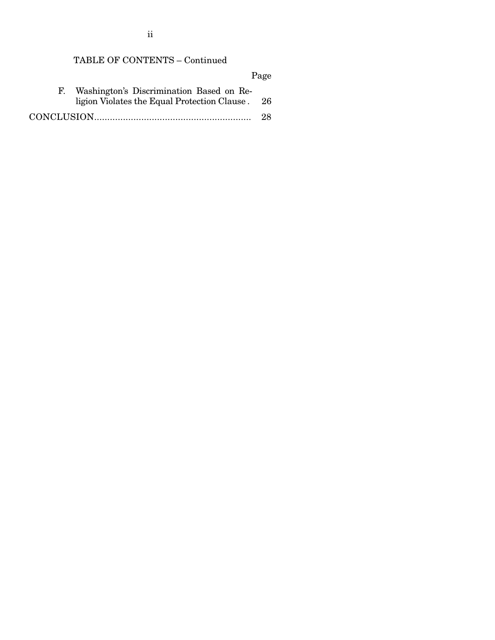## TABLE OF CONTENTS – Continued

Page F. Washington's Discrimination Based on Religion Violates the Equal Protection Clause . 26 CONCLUSION............................................................ 28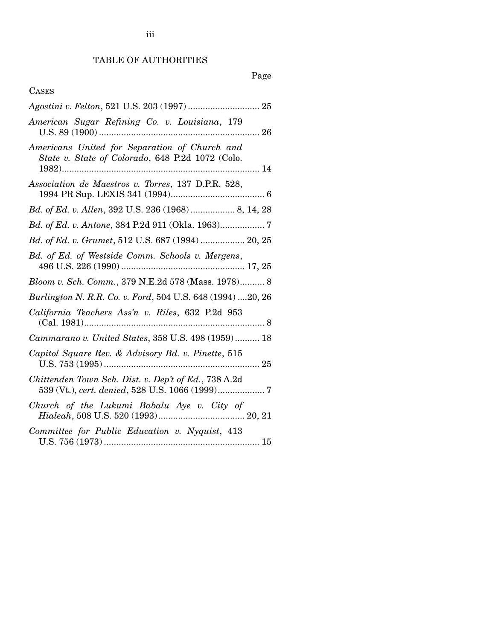## TABLE OF AUTHORITIES

# Page

## CASES

| American Sugar Refining Co. v. Louisiana, 179                                                                                                   |
|-------------------------------------------------------------------------------------------------------------------------------------------------|
| Americans United for Separation of Church and<br>State v. State of Colorado, 648 P.2d 1072 (Colo.<br>$1982)$                                    |
| Association de Maestros v. Torres, 137 D.P.R. 528,                                                                                              |
| Bd. of Ed. v. Allen, 392 U.S. 236 (1968)  8, 14, 28                                                                                             |
| Bd. of Ed. v. Antone, 384 P.2d 911 (Okla. 1963) 7                                                                                               |
| Bd. of Ed. v. Grumet, 512 U.S. 687 (1994) 20, 25                                                                                                |
| Bd. of Ed. of Westside Comm. Schools v. Mergens,                                                                                                |
| Bloom v. Sch. Comm., 379 N.E.2d 578 (Mass. 1978) 8                                                                                              |
| Burlington N. R.R. Co. v. Ford, 504 U.S. 648 (1994) 20, 26                                                                                      |
| California Teachers Ass'n v. Riles, 632 P.2d 953                                                                                                |
| Cammarano v. United States, 358 U.S. 498 (1959) 18                                                                                              |
| Capitol Square Rev. & Advisory Bd. v. Pinette, 515                                                                                              |
| Chittenden Town Sch. Dist. v. Dep't of Ed., 738 A.2d                                                                                            |
| $\begin{tabular}{llll} Church & of & the & Lukumi & Babalu & Aye & v. & City & of \\ Hialeah, 508 & U.S. & 520 & (1993)20, 21 \\ \end{tabular}$ |
| Committee for Public Education v. Nyquist, 413                                                                                                  |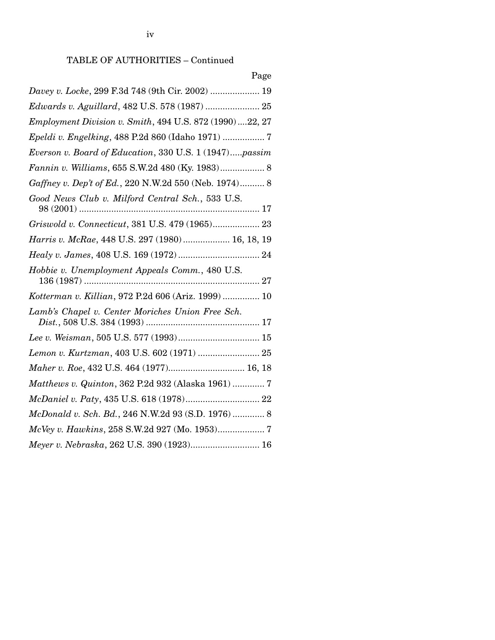| Page                                                     |
|----------------------------------------------------------|
| Davey v. Locke, 299 F.3d 748 (9th Cir. 2002)  19         |
| Edwards v. Aguillard, 482 U.S. 578 (1987)  25            |
| Employment Division v. Smith, 494 U.S. 872 (1990) 22, 27 |
|                                                          |
| Everson v. Board of Education, 330 U.S. 1 (1947)passim   |
| Fannin v. Williams, 655 S.W.2d 480 (Ky. 1983) 8          |
| Gaffney v. Dep't of Ed., 220 N.W.2d 550 (Neb. 1974) 8    |
| Good News Club v. Milford Central Sch., 533 U.S.         |
| Griswold v. Connecticut, 381 U.S. 479 (1965) 23          |
| Harris v. McRae, 448 U.S. 297 (1980) 16, 18, 19          |
|                                                          |
| Hobbie v. Unemployment Appeals Comm., 480 U.S.           |
| Kotterman v. Killian, 972 P.2d 606 (Ariz. 1999)  10      |
| Lamb's Chapel v. Center Moriches Union Free Sch.         |
|                                                          |
| Lemon v. Kurtzman, 403 U.S. 602 (1971)  25               |
| Maher v. Roe, 432 U.S. 464 (1977) 16, 18                 |
| Matthews v. Quinton, 362 P.2d 932 (Alaska 1961)  7       |
|                                                          |
| McDonald v. Sch. Bd., 246 N.W.2d 93 (S.D. 1976)  8       |
|                                                          |
| Meyer v. Nebraska, 262 U.S. 390 (1923) 16                |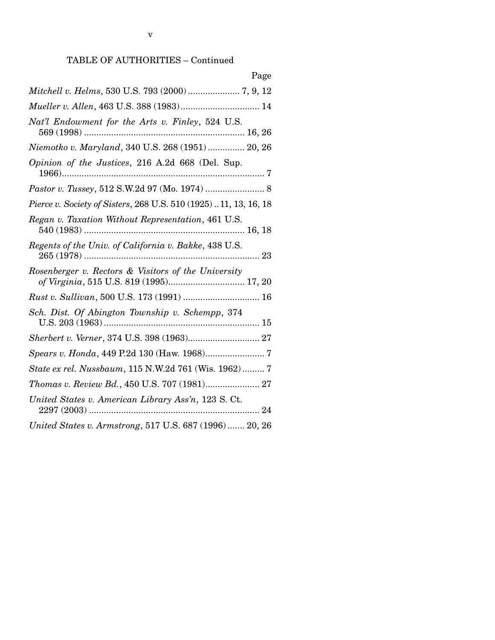| Page                                                                                           |
|------------------------------------------------------------------------------------------------|
| Mitchell v. Helms, 530 U.S. 793 (2000)  7, 9, 12                                               |
| Mueller v. Allen, 463 U.S. 388 (1983) 14                                                       |
| Nat'l Endowment for the Arts v. Finley, 524 U.S.                                               |
| Niemotko v. Maryland, 340 U.S. 268 (1951)  20, 26                                              |
| Opinion of the Justices, 216 A.2d 668 (Del. Sup.                                               |
| Pastor v. Tussey, 512 S.W.2d 97 (Mo. 1974)  8                                                  |
| Pierce v. Society of Sisters, 268 U.S. 510 (1925)11, 13, 16, 18                                |
| Regan v. Taxation Without Representation, 461 U.S.                                             |
| Regents of the Univ. of California v. Bakke, 438 U.S.                                          |
| Rosenberger v. Rectors & Visitors of the University<br>of Virginia, 515 U.S. 819 (1995) 17, 20 |
|                                                                                                |
| Sch. Dist. Of Abington Township v. Schempp, 374                                                |
| Sherbert v. Verner, 374 U.S. 398 (1963) 27                                                     |
|                                                                                                |
| State ex rel. Nussbaum, 115 N.W.2d 761 (Wis. 1962)  7                                          |
| Thomas v. Review Bd., 450 U.S. 707 (1981) 27                                                   |
| United States v. American Library Ass'n, 123 S. Ct.<br>. 24                                    |
| United States v. Armstrong, 517 U.S. 687 (1996)  20, 26                                        |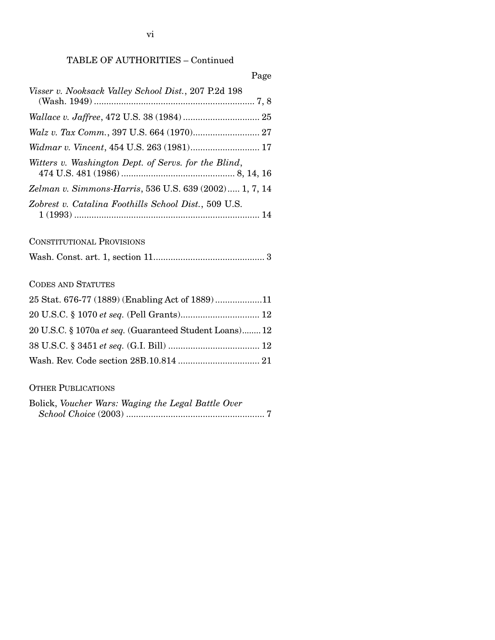### Page

| Visser v. Nooksack Valley School Dist., 207 P.2d 198   |  |
|--------------------------------------------------------|--|
|                                                        |  |
|                                                        |  |
|                                                        |  |
| Witters v. Washington Dept. of Servs. for the Blind,   |  |
| Zelman v. Simmons-Harris, 536 U.S. 639 (2002) 1, 7, 14 |  |
| Zobrest v. Catalina Foothills School Dist., 509 U.S.   |  |

## CONSTITUTIONAL PROVISIONS

|--|--|--|--|

## CODES AND STATUTES

| 25 Stat. 676-77 (1889) (Enabling Act of 1889)11         |  |
|---------------------------------------------------------|--|
|                                                         |  |
| 20 U.S.C. § 1070a et seq. (Guaranteed Student Loans) 12 |  |
|                                                         |  |
|                                                         |  |

## OTHER PUBLICATIONS

|  | Bolick, Voucher Wars: Waging the Legal Battle Over |  |
|--|----------------------------------------------------|--|
|  |                                                    |  |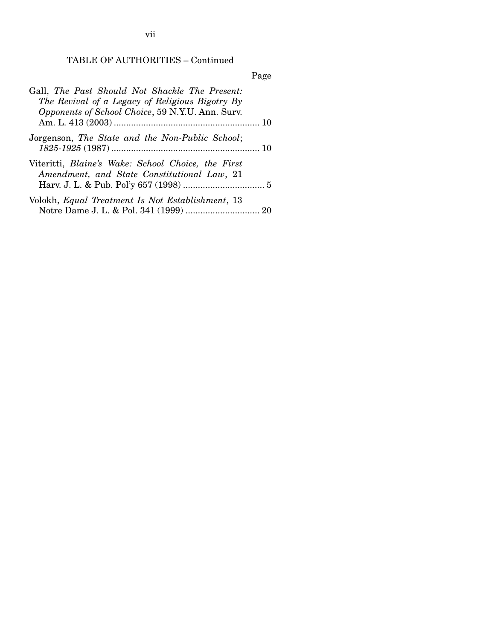| Gall, The Past Should Not Shackle The Present:<br>The Revival of a Legacy of Religious Bigotry By<br>Opponents of School Choice, 59 N.Y.U. Ann. Surv. |
|-------------------------------------------------------------------------------------------------------------------------------------------------------|
| Jorgenson, The State and the Non-Public School;                                                                                                       |
| Viteritti, Blaine's Wake: School Choice, the First<br>Amendment, and State Constitutional Law, 21                                                     |
| Volokh, Equal Treatment Is Not Establishment, 13                                                                                                      |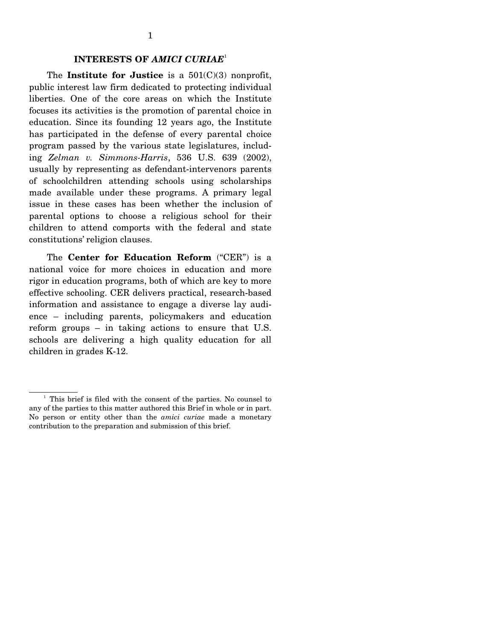The **Institute for Justice** is a 501(C)(3) nonprofit, public interest law firm dedicated to protecting individual liberties. One of the core areas on which the Institute focuses its activities is the promotion of parental choice in education. Since its founding 12 years ago, the Institute has participated in the defense of every parental choice program passed by the various state legislatures, including *Zelman v. Simmons-Harris*, 536 U.S. 639 (2002), usually by representing as defendant-intervenors parents of schoolchildren attending schools using scholarships made available under these programs. A primary legal issue in these cases has been whether the inclusion of parental options to choose a religious school for their children to attend comports with the federal and state constitutions' religion clauses.

 The **Center for Education Reform** ("CER") is a national voice for more choices in education and more rigor in education programs, both of which are key to more effective schooling. CER delivers practical, research-based information and assistance to engage a diverse lay audience – including parents, policymakers and education reform groups – in taking actions to ensure that U.S. schools are delivering a high quality education for all children in grades K-12.

<sup>&</sup>lt;sup>1</sup> This brief is filed with the consent of the parties. No counsel to any of the parties to this matter authored this Brief in whole or in part. No person or entity other than the *amici curiae* made a monetary contribution to the preparation and submission of this brief.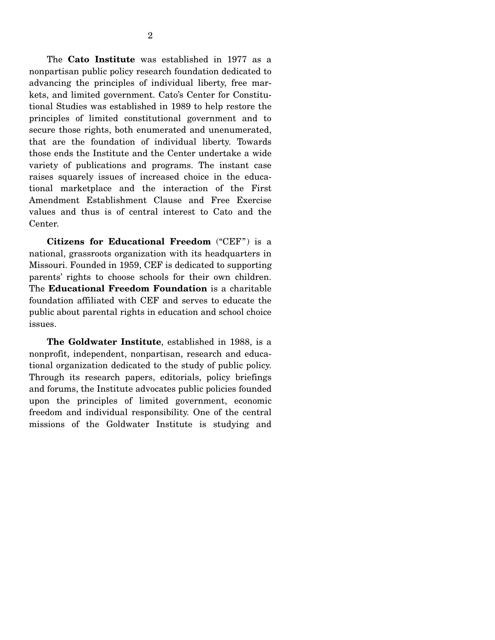The **Cato Institute** was established in 1977 as a nonpartisan public policy research foundation dedicated to advancing the principles of individual liberty, free markets, and limited government. Cato's Center for Constitutional Studies was established in 1989 to help restore the principles of limited constitutional government and to secure those rights, both enumerated and unenumerated, that are the foundation of individual liberty. Towards those ends the Institute and the Center undertake a wide variety of publications and programs. The instant case raises squarely issues of increased choice in the educational marketplace and the interaction of the First Amendment Establishment Clause and Free Exercise values and thus is of central interest to Cato and the Center.

 **Citizens for Educational Freedom** ("CEF") is a national, grassroots organization with its headquarters in Missouri. Founded in 1959, CEF is dedicated to supporting parents' rights to choose schools for their own children. The **Educational Freedom Foundation** is a charitable foundation affiliated with CEF and serves to educate the public about parental rights in education and school choice issues.

 **The Goldwater Institute**, established in 1988, is a nonprofit, independent, nonpartisan, research and educational organization dedicated to the study of public policy. Through its research papers, editorials, policy briefings and forums, the Institute advocates public policies founded upon the principles of limited government, economic freedom and individual responsibility. One of the central missions of the Goldwater Institute is studying and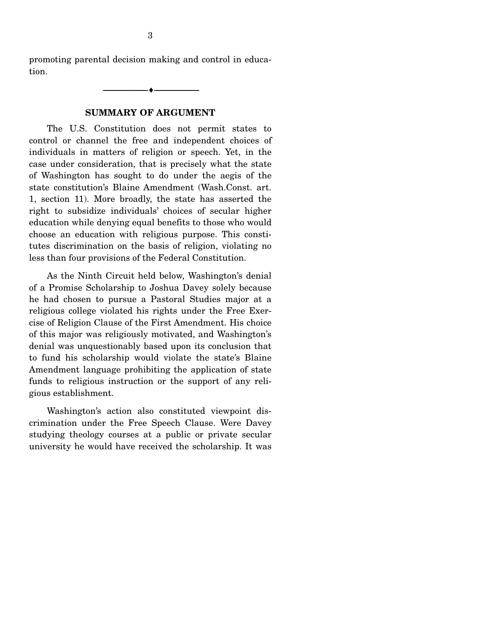promoting parental decision making and control in education.

--------------------------------- ♦ ---------------------------------

#### **SUMMARY OF ARGUMENT**

 The U.S. Constitution does not permit states to control or channel the free and independent choices of individuals in matters of religion or speech. Yet, in the case under consideration, that is precisely what the state of Washington has sought to do under the aegis of the state constitution's Blaine Amendment (Wash.Const. art. 1, section 11). More broadly, the state has asserted the right to subsidize individuals' choices of secular higher education while denying equal benefits to those who would choose an education with religious purpose. This constitutes discrimination on the basis of religion, violating no less than four provisions of the Federal Constitution.

 As the Ninth Circuit held below, Washington's denial of a Promise Scholarship to Joshua Davey solely because he had chosen to pursue a Pastoral Studies major at a religious college violated his rights under the Free Exercise of Religion Clause of the First Amendment. His choice of this major was religiously motivated, and Washington's denial was unquestionably based upon its conclusion that to fund his scholarship would violate the state's Blaine Amendment language prohibiting the application of state funds to religious instruction or the support of any religious establishment.

 Washington's action also constituted viewpoint discrimination under the Free Speech Clause. Were Davey studying theology courses at a public or private secular university he would have received the scholarship. It was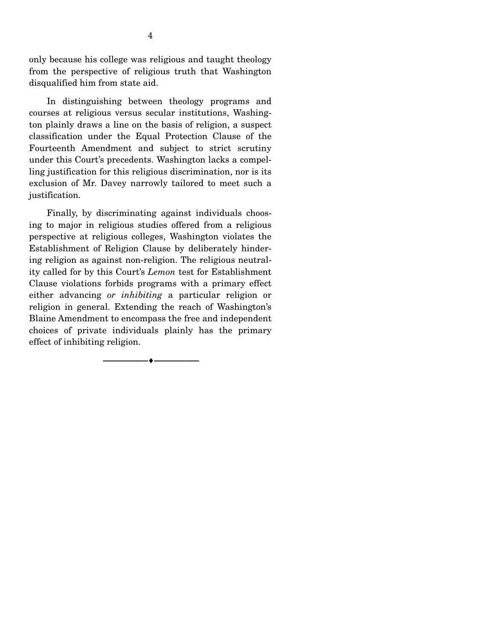only because his college was religious and taught theology from the perspective of religious truth that Washington disqualified him from state aid.

 In distinguishing between theology programs and courses at religious versus secular institutions, Washington plainly draws a line on the basis of religion, a suspect classification under the Equal Protection Clause of the Fourteenth Amendment and subject to strict scrutiny under this Court's precedents. Washington lacks a compelling justification for this religious discrimination, nor is its exclusion of Mr. Davey narrowly tailored to meet such a justification.

 Finally, by discriminating against individuals choosing to major in religious studies offered from a religious perspective at religious colleges, Washington violates the Establishment of Religion Clause by deliberately hindering religion as against non-religion. The religious neutrality called for by this Court's *Lemon* test for Establishment Clause violations forbids programs with a primary effect either advancing *or inhibiting* a particular religion or religion in general. Extending the reach of Washington's Blaine Amendment to encompass the free and independent choices of private individuals plainly has the primary effect of inhibiting religion.

--------------------------------- ♦ ---------------------------------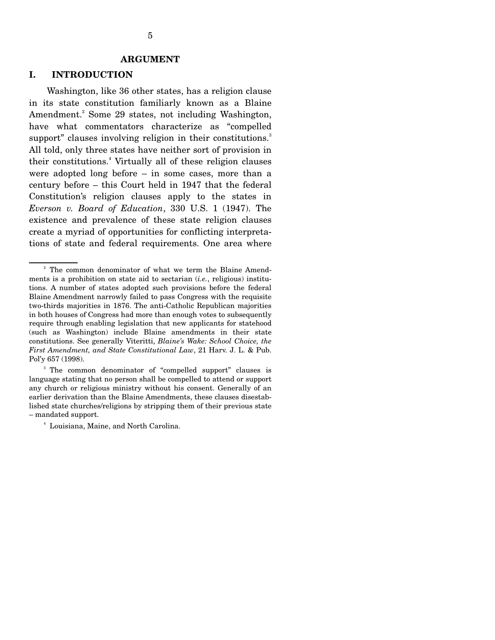#### **I. INTRODUCTION**

Washington, like 36 other states, has a religion clause in its state constitution familiarly known as a Blaine Amendment.<sup>2</sup> Some 29 states, not including Washington, have what commentators characterize as "compelled support" clauses involving religion in their constitutions.<sup>3</sup> All told, only three states have neither sort of provision in their constitutions.<sup>4</sup> Virtually all of these religion clauses were adopted long before – in some cases, more than a century before – this Court held in 1947 that the federal Constitution's religion clauses apply to the states in *Everson v. Board of Education*, 330 U.S. 1 (1947). The existence and prevalence of these state religion clauses create a myriad of opportunities for conflicting interpretations of state and federal requirements. One area where

<sup>3</sup> The common denominator of "compelled support" clauses is language stating that no person shall be compelled to attend or support any church or religious ministry without his consent. Generally of an earlier derivation than the Blaine Amendments, these clauses disestablished state churches/religions by stripping them of their previous state – mandated support.

<sup>4</sup> Louisiana, Maine, and North Carolina.

<sup>&</sup>lt;sup>2</sup> The common denominator of what we term the Blaine Amendments is a prohibition on state aid to sectarian (*i.e.*, religious) institutions. A number of states adopted such provisions before the federal Blaine Amendment narrowly failed to pass Congress with the requisite two-thirds majorities in 1876. The anti-Catholic Republican majorities in both houses of Congress had more than enough votes to subsequently require through enabling legislation that new applicants for statehood (such as Washington) include Blaine amendments in their state constitutions. See generally Viteritti, *Blaine's Wake: School Choice, the First Amendment, and State Constitutional Law*, 21 Harv. J. L. & Pub. Pol'y 657 (1998).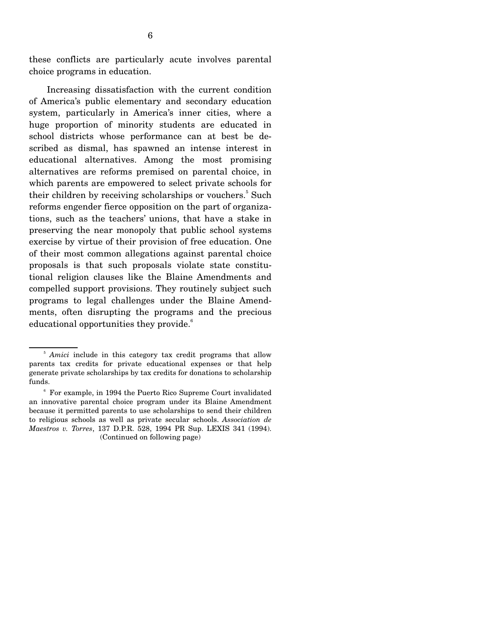these conflicts are particularly acute involves parental choice programs in education.

 Increasing dissatisfaction with the current condition of America's public elementary and secondary education system, particularly in America's inner cities, where a huge proportion of minority students are educated in school districts whose performance can at best be described as dismal, has spawned an intense interest in educational alternatives. Among the most promising alternatives are reforms premised on parental choice, in which parents are empowered to select private schools for their children by receiving scholarships or vouchers.<sup>5</sup> Such reforms engender fierce opposition on the part of organizations, such as the teachers' unions, that have a stake in preserving the near monopoly that public school systems exercise by virtue of their provision of free education. One of their most common allegations against parental choice proposals is that such proposals violate state constitutional religion clauses like the Blaine Amendments and compelled support provisions. They routinely subject such programs to legal challenges under the Blaine Amendments, often disrupting the programs and the precious educational opportunities they provide.<sup>6</sup>

<sup>5</sup> *Amici* include in this category tax credit programs that allow parents tax credits for private educational expenses or that help generate private scholarships by tax credits for donations to scholarship funds.

<sup>6</sup> For example, in 1994 the Puerto Rico Supreme Court invalidated an innovative parental choice program under its Blaine Amendment because it permitted parents to use scholarships to send their children to religious schools as well as private secular schools. *Association de Maestros v. Torres*, 137 D.P.R. 528, 1994 PR Sup. LEXIS 341 (1994). (Continued on following page)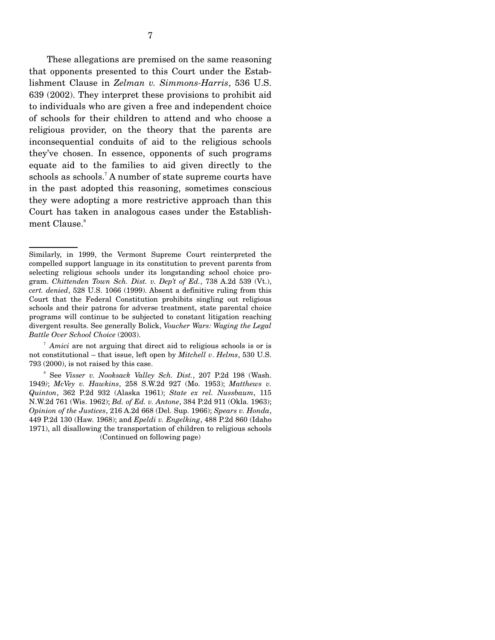These allegations are premised on the same reasoning that opponents presented to this Court under the Establishment Clause in *Zelman v. Simmons-Harris*, 536 U.S. 639 (2002). They interpret these provisions to prohibit aid to individuals who are given a free and independent choice of schools for their children to attend and who choose a religious provider, on the theory that the parents are inconsequential conduits of aid to the religious schools they've chosen. In essence, opponents of such programs equate aid to the families to aid given directly to the schools as schools.<sup>7</sup> A number of state supreme courts have in the past adopted this reasoning, sometimes conscious they were adopting a more restrictive approach than this Court has taken in analogous cases under the Establishment Clause.<sup>8</sup>

Similarly, in 1999, the Vermont Supreme Court reinterpreted the compelled support language in its constitution to prevent parents from selecting religious schools under its longstanding school choice program. *Chittenden Town Sch. Dist. v. Dep't of Ed.*, 738 A.2d 539 (Vt.), *cert. denied*, 528 U.S. 1066 (1999). Absent a definitive ruling from this Court that the Federal Constitution prohibits singling out religious schools and their patrons for adverse treatment, state parental choice programs will continue to be subjected to constant litigation reaching divergent results. See generally Bolick, *Voucher Wars: Waging the Legal Battle Over School Choice* (2003).

<sup>&</sup>lt;sup>7</sup> Amici are not arguing that direct aid to religious schools is or is not constitutional – that issue, left open by *Mitchell v*. *Helms*, 530 U.S. 793 (2000), is not raised by this case.

<sup>8</sup> See *Visser v. Nooksack Valley Sch. Dist.*, 207 P.2d 198 (Wash. 1949*)*; *McVey v. Hawkins*, 258 S.W.2d 927 (Mo. 1953); *Matthews v. Quinton*, 362 P.2d 932 (Alaska 1961); *State ex rel. Nussbaum*, 115 N.W.2d 761 (Wis. 1962); *Bd. of Ed. v. Antone*, 384 P.2d 911 (Okla. 1963); *Opinion of the Justices*, 216 A.2d 668 (Del. Sup. 1966); *Spears v. Honda*, 449 P.2d 130 (Haw. 1968); and *Epeldi v. Engelking*, 488 P.2d 860 (Idaho 1971), all disallowing the transportation of children to religious schools (Continued on following page)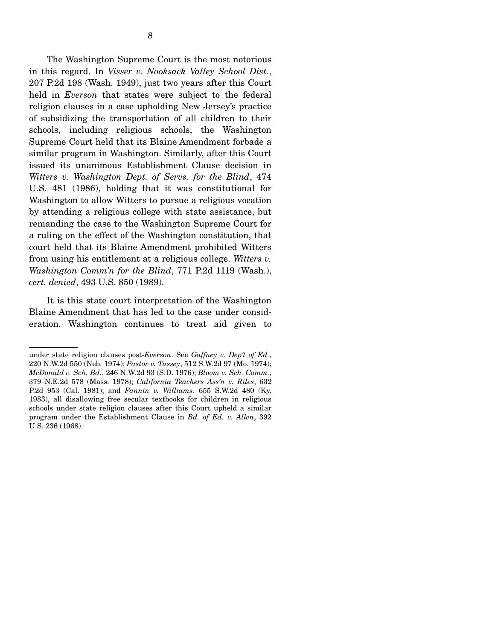The Washington Supreme Court is the most notorious in this regard. In *Visser v. Nooksack Valley School Dist.*, 207 P.2d 198 (Wash. 1949), just two years after this Court held in *Everson* that states were subject to the federal religion clauses in a case upholding New Jersey's practice of subsidizing the transportation of all children to their schools, including religious schools, the Washington Supreme Court held that its Blaine Amendment forbade a similar program in Washington. Similarly, after this Court issued its unanimous Establishment Clause decision in *Witters v. Washington Dept. of Servs. for the Blind*, 474 U.S. 481 (1986), holding that it was constitutional for Washington to allow Witters to pursue a religious vocation by attending a religious college with state assistance, but remanding the case to the Washington Supreme Court for a ruling on the effect of the Washington constitution, that court held that its Blaine Amendment prohibited Witters from using his entitlement at a religious college. *Witters v. Washington Comm'n for the Blind*, 771 P.2d 1119 (Wash.), *cert. denied*, 493 U.S. 850 (1989).

 It is this state court interpretation of the Washington Blaine Amendment that has led to the case under consideration. Washington continues to treat aid given to

under state religion clauses post-*Everson*. See *Gaffney v. Dep't of Ed.*, 220 N.W.2d 550 (Neb. 1974); *Pastor v. Tussey*, 512 S.W.2d 97 (Mo. 1974); *McDonald v. Sch. Bd.*, 246 N.W.2d 93 (S.D. 1976); *Bloom v. Sch. Comm.*, 379 N.E.2d 578 (Mass. 1978); *California Teachers Ass'n v. Riles*, 632 P.2d 953 (Cal. 1981); and *Fannin v. Williams*, 655 S.W.2d 480 (Ky. 1983), all disallowing free secular textbooks for children in religious schools under state religion clauses after this Court upheld a similar program under the Establishment Clause in *Bd. of Ed. v. Allen*, 392 U.S. 236 (1968).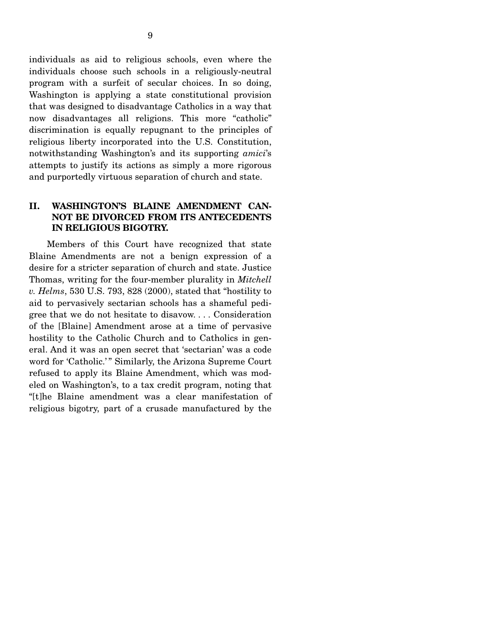individuals as aid to religious schools, even where the individuals choose such schools in a religiously-neutral program with a surfeit of secular choices. In so doing, Washington is applying a state constitutional provision that was designed to disadvantage Catholics in a way that now disadvantages all religions. This more "catholic" discrimination is equally repugnant to the principles of religious liberty incorporated into the U.S. Constitution, notwithstanding Washington's and its supporting *amici*'s attempts to justify its actions as simply a more rigorous and purportedly virtuous separation of church and state.

### **II. WASHINGTON'S BLAINE AMENDMENT CAN-NOT BE DIVORCED FROM ITS ANTECEDENTS IN RELIGIOUS BIGOTRY.**

Members of this Court have recognized that state Blaine Amendments are not a benign expression of a desire for a stricter separation of church and state. Justice Thomas, writing for the four-member plurality in *Mitchell v. Helms*, 530 U.S. 793, 828 (2000), stated that "hostility to aid to pervasively sectarian schools has a shameful pedigree that we do not hesitate to disavow. . . . Consideration of the [Blaine] Amendment arose at a time of pervasive hostility to the Catholic Church and to Catholics in general. And it was an open secret that 'sectarian' was a code word for 'Catholic.'" Similarly, the Arizona Supreme Court refused to apply its Blaine Amendment, which was modeled on Washington's, to a tax credit program, noting that "[t]he Blaine amendment was a clear manifestation of religious bigotry, part of a crusade manufactured by the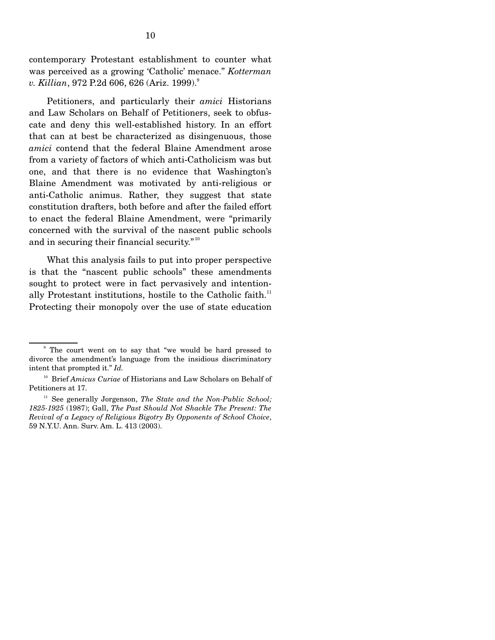contemporary Protestant establishment to counter what was perceived as a growing 'Catholic' menace." *Kotterman v. Killian*, 972 P.2d 606, 626 (Ariz. 1999).<sup>9</sup>

 Petitioners, and particularly their *amici* Historians and Law Scholars on Behalf of Petitioners, seek to obfuscate and deny this well-established history. In an effort that can at best be characterized as disingenuous, those *amici* contend that the federal Blaine Amendment arose from a variety of factors of which anti-Catholicism was but one, and that there is no evidence that Washington's Blaine Amendment was motivated by anti-religious or anti-Catholic animus. Rather, they suggest that state constitution drafters, both before and after the failed effort to enact the federal Blaine Amendment, were "primarily concerned with the survival of the nascent public schools and in securing their financial security."<sup>10</sup>

 What this analysis fails to put into proper perspective is that the "nascent public schools" these amendments sought to protect were in fact pervasively and intentionally Protestant institutions, hostile to the Catholic faith.<sup>11</sup> Protecting their monopoly over the use of state education

<sup>&</sup>lt;sup>9</sup> The court went on to say that "we would be hard pressed to divorce the amendment's language from the insidious discriminatory intent that prompted it." *Id.*

<sup>&</sup>lt;sup>10</sup> Brief *Amicus Curiae* of Historians and Law Scholars on Behalf of Petitioners at 17.

<sup>&</sup>lt;sup>11</sup> See generally Jorgenson, *The State and the Non-Public School*; *1825-1925* (1987); Gall, *The Past Should Not Shackle The Present: The Revival of a Legacy of Religious Bigotry By Opponents of School Choice*, 59 N.Y.U. Ann. Surv. Am. L. 413 (2003).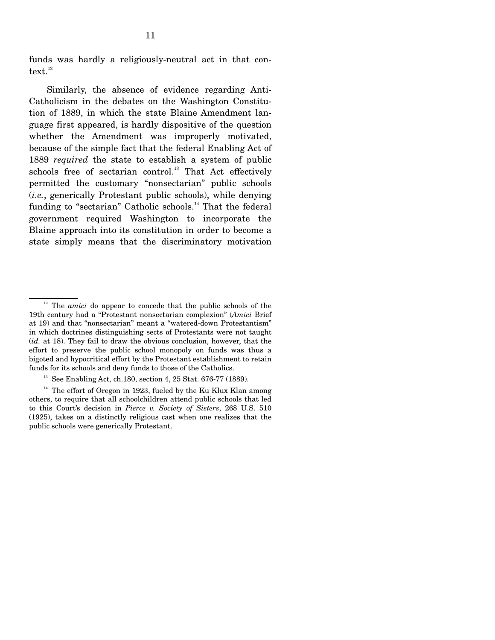funds was hardly a religiously-neutral act in that con $text.$ <sup>12</sup>

 Similarly, the absence of evidence regarding Anti-Catholicism in the debates on the Washington Constitution of 1889, in which the state Blaine Amendment language first appeared, is hardly dispositive of the question whether the Amendment was improperly motivated, because of the simple fact that the federal Enabling Act of 1889 *required* the state to establish a system of public schools free of sectarian control.<sup>13</sup> That Act effectively permitted the customary "nonsectarian" public schools (*i.e.*, generically Protestant public schools), while denying funding to "sectarian" Catholic schools.<sup>14</sup> That the federal government required Washington to incorporate the Blaine approach into its constitution in order to become a state simply means that the discriminatory motivation

<sup>&</sup>lt;sup>12</sup> The *amici* do appear to concede that the public schools of the 19th century had a "Protestant nonsectarian complexion" (*Amici* Brief at 19) and that "nonsectarian" meant a "watered-down Protestantism" in which doctrines distinguishing sects of Protestants were not taught (*id.* at 18). They fail to draw the obvious conclusion, however, that the effort to preserve the public school monopoly on funds was thus a bigoted and hypocritical effort by the Protestant establishment to retain funds for its schools and deny funds to those of the Catholics.

<sup>&</sup>lt;sup>13</sup> See Enabling Act, ch.180, section 4, 25 Stat. 676-77 (1889).

 $14$  The effort of Oregon in 1923, fueled by the Ku Klux Klan among others, to require that all schoolchildren attend public schools that led to this Court's decision in *Pierce v. Society of Sisters*, 268 U.S. 510 (1925), takes on a distinctly religious cast when one realizes that the public schools were generically Protestant.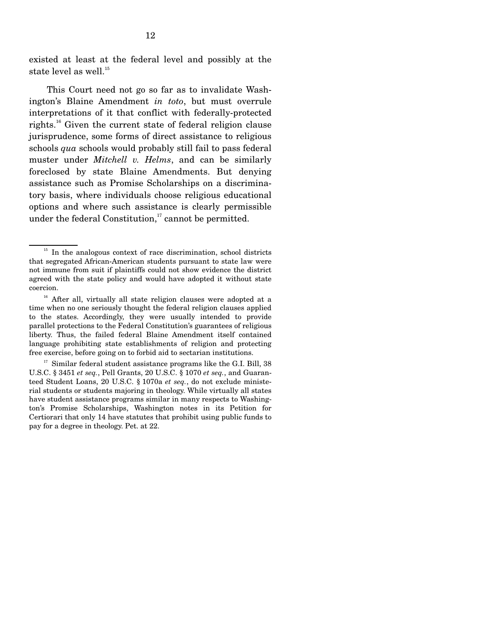existed at least at the federal level and possibly at the state level as well.<sup>15</sup>

 This Court need not go so far as to invalidate Washington's Blaine Amendment *in toto*, but must overrule interpretations of it that conflict with federally-protected rights.<sup>16</sup> Given the current state of federal religion clause jurisprudence, some forms of direct assistance to religious schools *qua* schools would probably still fail to pass federal muster under *Mitchell v. Helms*, and can be similarly foreclosed by state Blaine Amendments. But denying assistance such as Promise Scholarships on a discriminatory basis, where individuals choose religious educational options and where such assistance is clearly permissible under the federal Constitution, $17$  cannot be permitted.

<sup>&</sup>lt;sup>15</sup> In the analogous context of race discrimination, school districts that segregated African-American students pursuant to state law were not immune from suit if plaintiffs could not show evidence the district agreed with the state policy and would have adopted it without state coercion.

<sup>&</sup>lt;sup>16</sup> After all, virtually all state religion clauses were adopted at a time when no one seriously thought the federal religion clauses applied to the states. Accordingly, they were usually intended to provide parallel protections to the Federal Constitution's guarantees of religious liberty. Thus, the failed federal Blaine Amendment itself contained language prohibiting state establishments of religion and protecting free exercise, before going on to forbid aid to sectarian institutions.

 $17$  Similar federal student assistance programs like the G.I. Bill, 38 U.S.C. § 3451 *et seq.*, Pell Grants, 20 U.S.C. § 1070 *et seq.*, and Guaranteed Student Loans, 20 U.S.C. § 1070a *et seq.*, do not exclude ministerial students or students majoring in theology. While virtually all states have student assistance programs similar in many respects to Washington's Promise Scholarships, Washington notes in its Petition for Certiorari that only 14 have statutes that prohibit using public funds to pay for a degree in theology. Pet. at 22.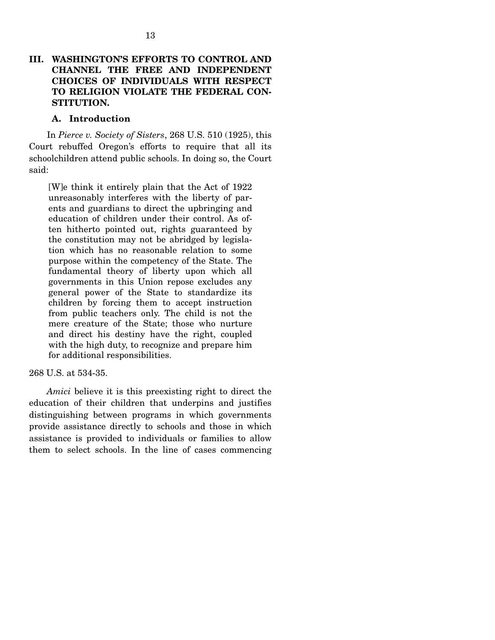### **III. WASHINGTON'S EFFORTS TO CONTROL AND CHANNEL THE FREE AND INDEPENDENT CHOICES OF INDIVIDUALS WITH RESPECT TO RELIGION VIOLATE THE FEDERAL CON-STITUTION.**

#### **A. Introduction**

In *Pierce v. Society of Sisters*, 268 U.S. 510 (1925), this Court rebuffed Oregon's efforts to require that all its schoolchildren attend public schools. In doing so, the Court said:

[W]e think it entirely plain that the Act of 1922 unreasonably interferes with the liberty of parents and guardians to direct the upbringing and education of children under their control. As often hitherto pointed out, rights guaranteed by the constitution may not be abridged by legislation which has no reasonable relation to some purpose within the competency of the State. The fundamental theory of liberty upon which all governments in this Union repose excludes any general power of the State to standardize its children by forcing them to accept instruction from public teachers only. The child is not the mere creature of the State; those who nurture and direct his destiny have the right, coupled with the high duty, to recognize and prepare him for additional responsibilities.

#### 268 U.S. at 534-35.

 *Amici* believe it is this preexisting right to direct the education of their children that underpins and justifies distinguishing between programs in which governments provide assistance directly to schools and those in which assistance is provided to individuals or families to allow them to select schools. In the line of cases commencing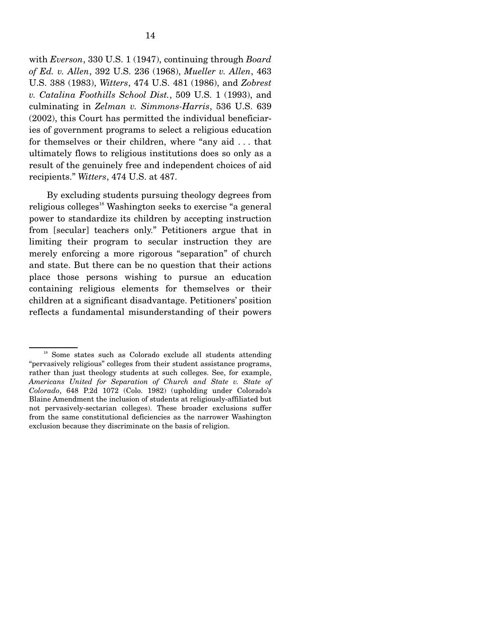with *Everson*, 330 U.S. 1 (1947), continuing through *Board of Ed. v. Allen*, 392 U.S. 236 (1968), *Mueller v. Allen*, 463 U.S. 388 (1983), *Witters*, 474 U.S. 481 (1986), and *Zobrest v. Catalina Foothills School Dist.*, 509 U.S. 1 (1993), and culminating in *Zelman v. Simmons-Harris*, 536 U.S. 639 (2002), this Court has permitted the individual beneficiaries of government programs to select a religious education for themselves or their children, where "any aid . . . that ultimately flows to religious institutions does so only as a result of the genuinely free and independent choices of aid recipients." *Witters*, 474 U.S. at 487.

 By excluding students pursuing theology degrees from religious colleges<sup>18</sup> Washington seeks to exercise "a general power to standardize its children by accepting instruction from [secular] teachers only." Petitioners argue that in limiting their program to secular instruction they are merely enforcing a more rigorous "separation" of church and state. But there can be no question that their actions place those persons wishing to pursue an education containing religious elements for themselves or their children at a significant disadvantage. Petitioners' position reflects a fundamental misunderstanding of their powers

<sup>&</sup>lt;sup>18</sup> Some states such as Colorado exclude all students attending "pervasively religious" colleges from their student assistance programs, rather than just theology students at such colleges. See, for example, *Americans United for Separation of Church and State v. State of Colorado*, 648 P.2d 1072 (Colo. 1982) (upholding under Colorado's Blaine Amendment the inclusion of students at religiously-affiliated but not pervasively-sectarian colleges). These broader exclusions suffer from the same constitutional deficiencies as the narrower Washington exclusion because they discriminate on the basis of religion.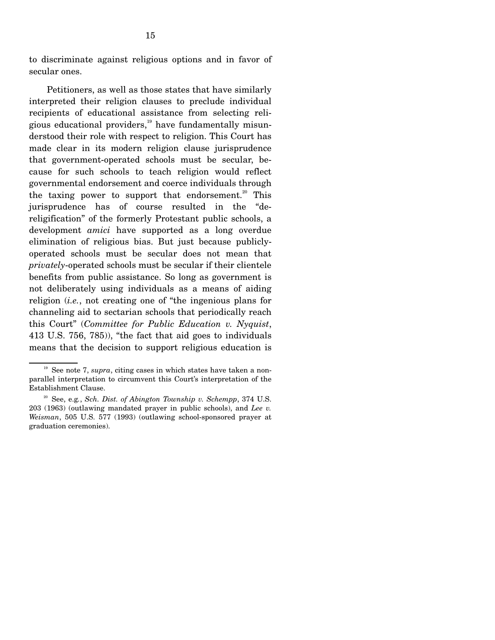to discriminate against religious options and in favor of secular ones.

 Petitioners, as well as those states that have similarly interpreted their religion clauses to preclude individual recipients of educational assistance from selecting religious educational providers, $19$  have fundamentally misunderstood their role with respect to religion. This Court has made clear in its modern religion clause jurisprudence that government-operated schools must be secular, because for such schools to teach religion would reflect governmental endorsement and coerce individuals through the taxing power to support that endorsement.<sup>20</sup> This jurisprudence has of course resulted in the "dereligification" of the formerly Protestant public schools, a development *amici* have supported as a long overdue elimination of religious bias. But just because publiclyoperated schools must be secular does not mean that *privately*-operated schools must be secular if their clientele benefits from public assistance. So long as government is not deliberately using individuals as a means of aiding religion (*i.e.*, not creating one of "the ingenious plans for channeling aid to sectarian schools that periodically reach this Court" (*Committee for Public Education v. Nyquist*, 413 U.S. 756, 785)), "the fact that aid goes to individuals means that the decision to support religious education is

<sup>&</sup>lt;sup>19</sup> See note 7, *supra*, citing cases in which states have taken a nonparallel interpretation to circumvent this Court's interpretation of the Establishment Clause.

20 See, e.g*.*, *Sch. Dist. of Abington Township v. Schempp*, 374 U.S. 203 (1963) (outlawing mandated prayer in public schools), and *Lee v. Weisman*, 505 U.S. 577 (1993) (outlawing school-sponsored prayer at graduation ceremonies).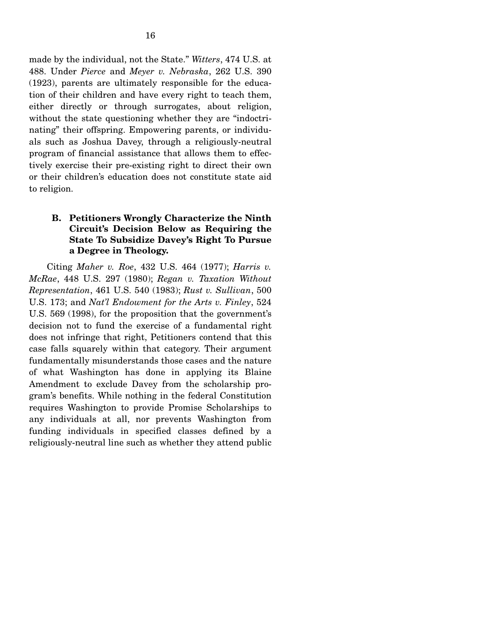made by the individual, not the State." *Witters*, 474 U.S. at 488. Under *Pierce* and *Meyer v. Nebraska*, 262 U.S. 390 (1923), parents are ultimately responsible for the education of their children and have every right to teach them, either directly or through surrogates, about religion, without the state questioning whether they are "indoctrinating" their offspring. Empowering parents, or individuals such as Joshua Davey, through a religiously-neutral program of financial assistance that allows them to effectively exercise their pre-existing right to direct their own or their children's education does not constitute state aid to religion.

### **B. Petitioners Wrongly Characterize the Ninth Circuit's Decision Below as Requiring the State To Subsidize Davey's Right To Pursue a Degree in Theology.**

Citing *Maher v. Roe*, 432 U.S. 464 (1977); *Harris v. McRae*, 448 U.S. 297 (1980); *Regan v. Taxation Without Representation*, 461 U.S. 540 (1983); *Rust v. Sullivan*, 500 U.S. 173; and *Nat'l Endowment for the Arts v. Finley*, 524 U.S. 569 (1998), for the proposition that the government's decision not to fund the exercise of a fundamental right does not infringe that right, Petitioners contend that this case falls squarely within that category. Their argument fundamentally misunderstands those cases and the nature of what Washington has done in applying its Blaine Amendment to exclude Davey from the scholarship program's benefits. While nothing in the federal Constitution requires Washington to provide Promise Scholarships to any individuals at all, nor prevents Washington from funding individuals in specified classes defined by a religiously-neutral line such as whether they attend public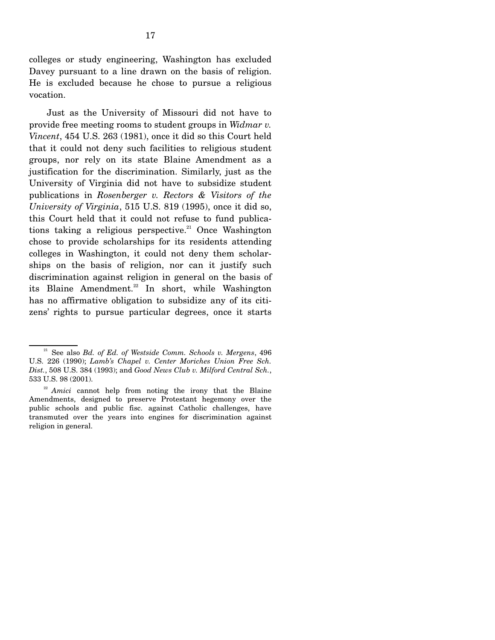colleges or study engineering, Washington has excluded Davey pursuant to a line drawn on the basis of religion. He is excluded because he chose to pursue a religious vocation.

 Just as the University of Missouri did not have to provide free meeting rooms to student groups in *Widmar v. Vincent*, 454 U.S. 263 (1981), once it did so this Court held that it could not deny such facilities to religious student groups, nor rely on its state Blaine Amendment as a justification for the discrimination. Similarly, just as the University of Virginia did not have to subsidize student publications in *Rosenberger v. Rectors & Visitors of the University of Virginia*, 515 U.S. 819 (1995), once it did so, this Court held that it could not refuse to fund publications taking a religious perspective.<sup>21</sup> Once Washington chose to provide scholarships for its residents attending colleges in Washington, it could not deny them scholarships on the basis of religion, nor can it justify such discrimination against religion in general on the basis of its Blaine Amendment.<sup>22</sup> In short, while Washington has no affirmative obligation to subsidize any of its citizens' rights to pursue particular degrees, once it starts

21 See also *Bd. of Ed. of Westside Comm. Schools v. Mergens*, 496 U.S. 226 (1990); *Lamb's Chapel v. Center Moriches Union Free Sch. Dist.*, 508 U.S. 384 (1993); and *Good News Club v. Milford Central Sch.*, 533 U.S. 98 (2001).

<sup>&</sup>lt;sup>22</sup> *Amici* cannot help from noting the irony that the Blaine Amendments, designed to preserve Protestant hegemony over the public schools and public fisc. against Catholic challenges, have transmuted over the years into engines for discrimination against religion in general.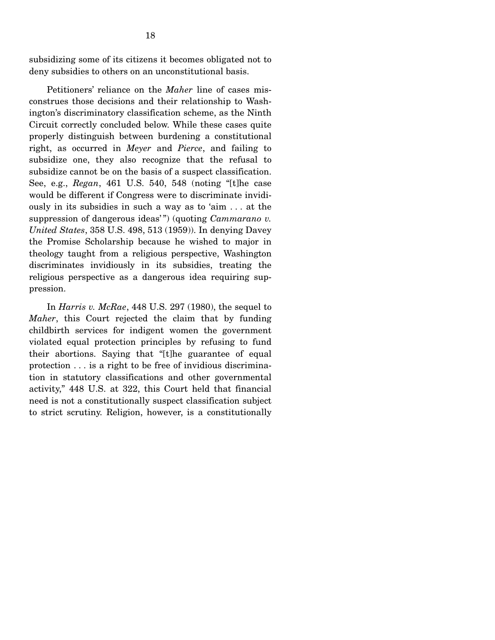subsidizing some of its citizens it becomes obligated not to deny subsidies to others on an unconstitutional basis.

 Petitioners' reliance on the *Maher* line of cases misconstrues those decisions and their relationship to Washington's discriminatory classification scheme, as the Ninth Circuit correctly concluded below. While these cases quite properly distinguish between burdening a constitutional right, as occurred in *Meyer* and *Pierce*, and failing to subsidize one, they also recognize that the refusal to subsidize cannot be on the basis of a suspect classification. See, e.g., *Regan*, 461 U.S. 540, 548 (noting "[t]he case would be different if Congress were to discriminate invidiously in its subsidies in such a way as to 'aim . . . at the suppression of dangerous ideas'") (quoting *Cammarano v. United States*, 358 U.S. 498, 513 (1959)). In denying Davey the Promise Scholarship because he wished to major in theology taught from a religious perspective, Washington discriminates invidiously in its subsidies, treating the religious perspective as a dangerous idea requiring suppression.

 In *Harris v. McRae*, 448 U.S. 297 (1980), the sequel to *Maher*, this Court rejected the claim that by funding childbirth services for indigent women the government violated equal protection principles by refusing to fund their abortions. Saying that "[t]he guarantee of equal protection . . . is a right to be free of invidious discrimination in statutory classifications and other governmental activity," 448 U.S. at 322, this Court held that financial need is not a constitutionally suspect classification subject to strict scrutiny. Religion, however, is a constitutionally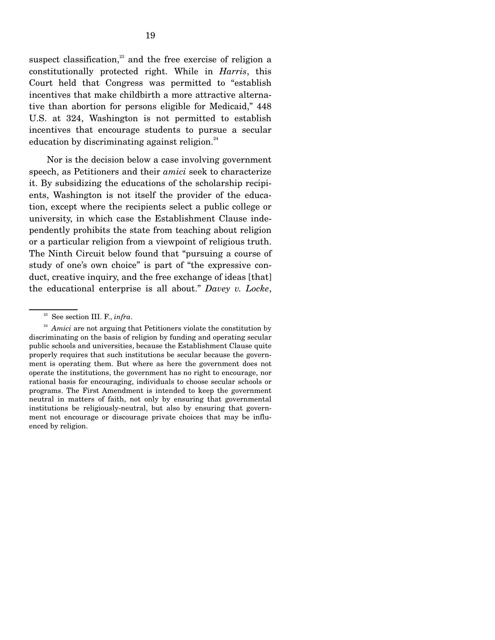suspect classification, $23$  and the free exercise of religion a constitutionally protected right. While in *Harris*, this Court held that Congress was permitted to "establish incentives that make childbirth a more attractive alternative than abortion for persons eligible for Medicaid," 448 U.S. at 324, Washington is not permitted to establish incentives that encourage students to pursue a secular education by discriminating against religion.<sup>24</sup>

 Nor is the decision below a case involving government speech, as Petitioners and their *amici* seek to characterize it. By subsidizing the educations of the scholarship recipients, Washington is not itself the provider of the education, except where the recipients select a public college or university, in which case the Establishment Clause independently prohibits the state from teaching about religion or a particular religion from a viewpoint of religious truth. The Ninth Circuit below found that "pursuing a course of study of one's own choice" is part of "the expressive conduct, creative inquiry, and the free exchange of ideas [that] the educational enterprise is all about." *Davey v. Locke*,

23 See section III. F., *infra*.

<sup>&</sup>lt;sup>24</sup> *Amici* are not arguing that Petitioners violate the constitution by discriminating on the basis of religion by funding and operating secular public schools and universities, because the Establishment Clause quite properly requires that such institutions be secular because the government is operating them. But where as here the government does not operate the institutions, the government has no right to encourage, nor rational basis for encouraging, individuals to choose secular schools or programs. The First Amendment is intended to keep the government neutral in matters of faith, not only by ensuring that governmental institutions be religiously-neutral, but also by ensuring that government not encourage or discourage private choices that may be influenced by religion.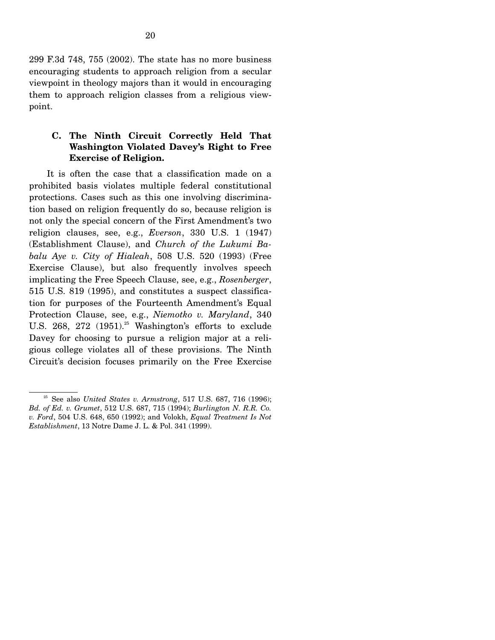299 F.3d 748, 755 (2002). The state has no more business encouraging students to approach religion from a secular viewpoint in theology majors than it would in encouraging them to approach religion classes from a religious viewpoint.

### **C. The Ninth Circuit Correctly Held That Washington Violated Davey's Right to Free Exercise of Religion.**

 It is often the case that a classification made on a prohibited basis violates multiple federal constitutional protections. Cases such as this one involving discrimination based on religion frequently do so, because religion is not only the special concern of the First Amendment's two religion clauses, see, e.g., *Everson*, 330 U.S. 1 (1947) (Establishment Clause), and *Church of the Lukumi Babalu Aye v. City of Hialeah*, 508 U.S. 520 (1993) (Free Exercise Clause), but also frequently involves speech implicating the Free Speech Clause, see, e.g., *Rosenberger*, 515 U.S. 819 (1995), and constitutes a suspect classification for purposes of the Fourteenth Amendment's Equal Protection Clause, see, e.g., *Niemotko v. Maryland*, 340 U.S. 268, 272  $(1951)^{25}$  Washington's efforts to exclude Davey for choosing to pursue a religion major at a religious college violates all of these provisions. The Ninth Circuit's decision focuses primarily on the Free Exercise

<sup>&</sup>lt;sup>25</sup> See also *United States v. Armstrong*, 517 U.S. 687, 716 (1996); *Bd. of Ed. v. Grumet*, 512 U.S. 687, 715 (1994); *Burlington N. R.R. Co. v. Ford*, 504 U.S. 648, 650 (1992); and Volokh, *Equal Treatment Is Not Establishment*, 13 Notre Dame J. L. & Pol. 341 (1999).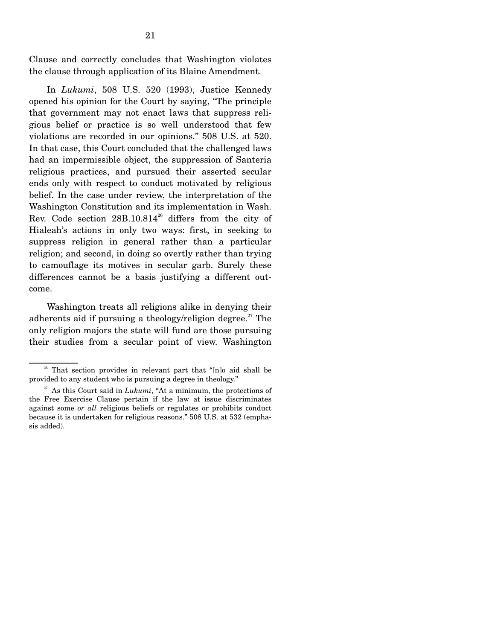Clause and correctly concludes that Washington violates the clause through application of its Blaine Amendment.

 In *Lukumi*, 508 U.S. 520 (1993), Justice Kennedy opened his opinion for the Court by saying, "The principle that government may not enact laws that suppress religious belief or practice is so well understood that few violations are recorded in our opinions." 508 U.S. at 520. In that case, this Court concluded that the challenged laws had an impermissible object, the suppression of Santeria religious practices, and pursued their asserted secular ends only with respect to conduct motivated by religious belief. In the case under review, the interpretation of the Washington Constitution and its implementation in Wash. Rev. Code section 28B.10.814<sup>26</sup> differs from the city of Hialeah's actions in only two ways: first, in seeking to suppress religion in general rather than a particular religion; and second, in doing so overtly rather than trying to camouflage its motives in secular garb. Surely these differences cannot be a basis justifying a different outcome.

 Washington treats all religions alike in denying their adherents aid if pursuing a theology/religion degree.<sup>27</sup> The only religion majors the state will fund are those pursuing their studies from a secular point of view. Washington

 $26$  That section provides in relevant part that "[n]o aid shall be provided to any student who is pursuing a degree in theology."

 $27$  As this Court said in *Lukumi*, "At a minimum, the protections of the Free Exercise Clause pertain if the law at issue discriminates against some *or all* religious beliefs or regulates or prohibits conduct because it is undertaken for religious reasons." 508 U.S. at 532 (emphasis added).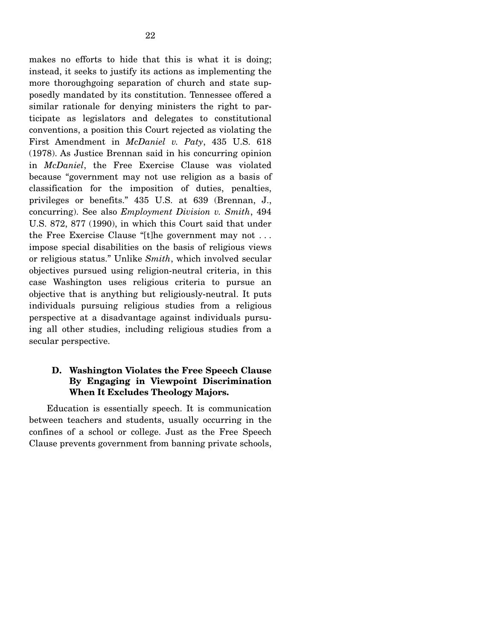makes no efforts to hide that this is what it is doing; instead, it seeks to justify its actions as implementing the more thoroughgoing separation of church and state supposedly mandated by its constitution. Tennessee offered a similar rationale for denying ministers the right to participate as legislators and delegates to constitutional conventions, a position this Court rejected as violating the First Amendment in *McDaniel v. Paty*, 435 U.S. 618 (1978). As Justice Brennan said in his concurring opinion in *McDaniel*, the Free Exercise Clause was violated because "government may not use religion as a basis of classification for the imposition of duties, penalties, privileges or benefits." 435 U.S. at 639 (Brennan, J., concurring). See also *Employment Division v. Smith*, 494 U.S. 872, 877 (1990), in which this Court said that under the Free Exercise Clause "[t]he government may not . . . impose special disabilities on the basis of religious views or religious status." Unlike *Smith*, which involved secular

objectives pursued using religion-neutral criteria, in this case Washington uses religious criteria to pursue an objective that is anything but religiously-neutral. It puts individuals pursuing religious studies from a religious perspective at a disadvantage against individuals pursuing all other studies, including religious studies from a secular perspective.

### **D. Washington Violates the Free Speech Clause By Engaging in Viewpoint Discrimination When It Excludes Theology Majors.**

Education is essentially speech. It is communication between teachers and students, usually occurring in the confines of a school or college. Just as the Free Speech Clause prevents government from banning private schools,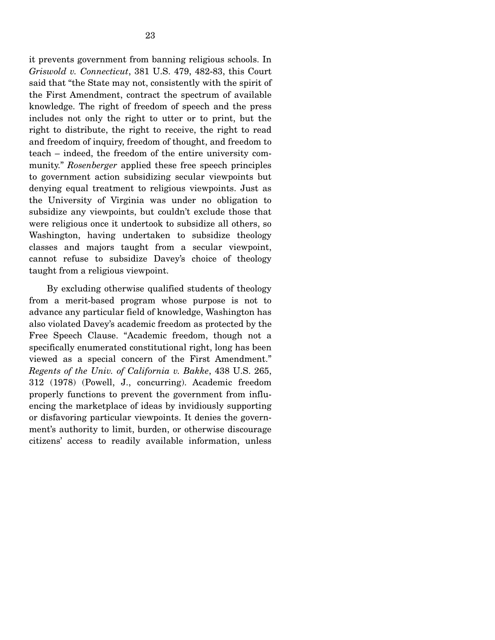it prevents government from banning religious schools. In *Griswold v. Connecticut*, 381 U.S. 479, 482-83, this Court said that "the State may not, consistently with the spirit of the First Amendment, contract the spectrum of available knowledge. The right of freedom of speech and the press includes not only the right to utter or to print, but the right to distribute, the right to receive, the right to read and freedom of inquiry, freedom of thought, and freedom to teach – indeed, the freedom of the entire university community." *Rosenberger* applied these free speech principles to government action subsidizing secular viewpoints but denying equal treatment to religious viewpoints. Just as the University of Virginia was under no obligation to subsidize any viewpoints, but couldn't exclude those that were religious once it undertook to subsidize all others, so Washington, having undertaken to subsidize theology classes and majors taught from a secular viewpoint, cannot refuse to subsidize Davey's choice of theology taught from a religious viewpoint.

 By excluding otherwise qualified students of theology from a merit-based program whose purpose is not to advance any particular field of knowledge, Washington has also violated Davey's academic freedom as protected by the Free Speech Clause. "Academic freedom, though not a specifically enumerated constitutional right, long has been viewed as a special concern of the First Amendment." *Regents of the Univ. of California v. Bakke*, 438 U.S. 265, 312 (1978) (Powell, J., concurring). Academic freedom properly functions to prevent the government from influencing the marketplace of ideas by invidiously supporting or disfavoring particular viewpoints. It denies the government's authority to limit, burden, or otherwise discourage citizens' access to readily available information, unless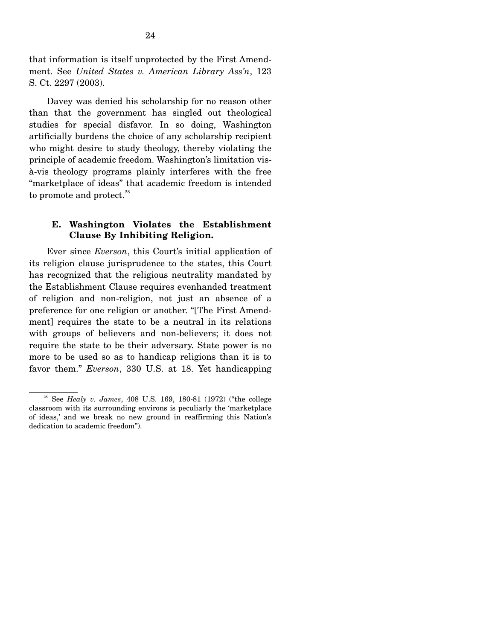that information is itself unprotected by the First Amendment. See *United States v. American Library Ass'n*, 123 S. Ct. 2297 (2003).

 Davey was denied his scholarship for no reason other than that the government has singled out theological studies for special disfavor. In so doing, Washington artificially burdens the choice of any scholarship recipient who might desire to study theology, thereby violating the principle of academic freedom. Washington's limitation visà-vis theology programs plainly interferes with the free "marketplace of ideas" that academic freedom is intended to promote and protect.<sup>28</sup>

#### **E. Washington Violates the Establishment Clause By Inhibiting Religion.**

Ever since *Everson*, this Court's initial application of its religion clause jurisprudence to the states, this Court has recognized that the religious neutrality mandated by the Establishment Clause requires evenhanded treatment of religion and non-religion, not just an absence of a preference for one religion or another. "[The First Amendment] requires the state to be a neutral in its relations with groups of believers and non-believers; it does not require the state to be their adversary. State power is no more to be used so as to handicap religions than it is to favor them." *Everson*, 330 U.S. at 18. Yet handicapping

28 See *Healy v. James*, 408 U.S. 169, 180-81 (1972) ("the college classroom with its surrounding environs is peculiarly the 'marketplace of ideas,' and we break no new ground in reaffirming this Nation's dedication to academic freedom").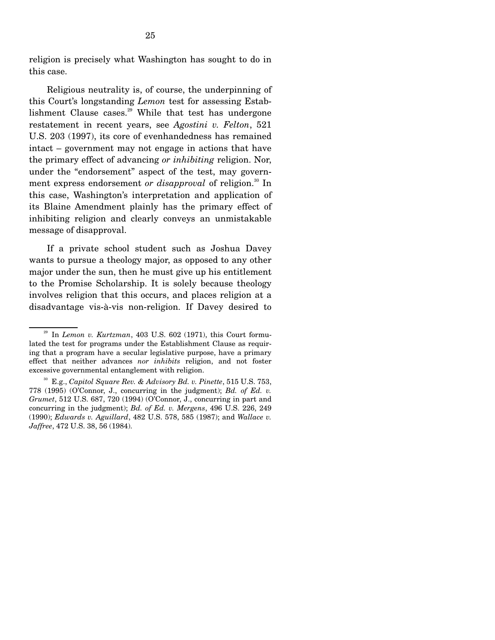religion is precisely what Washington has sought to do in this case.

 Religious neutrality is, of course, the underpinning of this Court's longstanding *Lemon* test for assessing Establishment Clause cases. $^{29}$  While that test has undergone restatement in recent years, see *Agostini v. Felton*, 521 U.S. 203 (1997), its core of evenhandedness has remained intact – government may not engage in actions that have the primary effect of advancing *or inhibiting* religion. Nor, under the "endorsement" aspect of the test, may government express endorsement *or disapproval* of religion.<sup>30</sup> In this case, Washington's interpretation and application of its Blaine Amendment plainly has the primary effect of inhibiting religion and clearly conveys an unmistakable message of disapproval.

 If a private school student such as Joshua Davey wants to pursue a theology major, as opposed to any other major under the sun, then he must give up his entitlement to the Promise Scholarship. It is solely because theology involves religion that this occurs, and places religion at a disadvantage vis-à-vis non-religion. If Davey desired to

29 In *Lemon v. Kurtzman*, 403 U.S. 602 (1971), this Court formulated the test for programs under the Establishment Clause as requiring that a program have a secular legislative purpose, have a primary effect that neither advances *nor inhibits* religion, and not foster excessive governmental entanglement with religion.

30 E.g., *Capitol Square Rev. & Advisory Bd. v. Pinette*, 515 U.S. 753, 778 (1995) (O'Connor, J., concurring in the judgment); *Bd. of Ed. v. Grumet*, 512 U.S. 687, 720 (1994) (O'Connor, J., concurring in part and concurring in the judgment); *Bd. of Ed. v. Mergens*, 496 U.S. 226, 249 (1990); *Edwards v. Aguillard*, 482 U.S. 578, 585 (1987); and *Wallace v. Jaffree*, 472 U.S. 38, 56 (1984).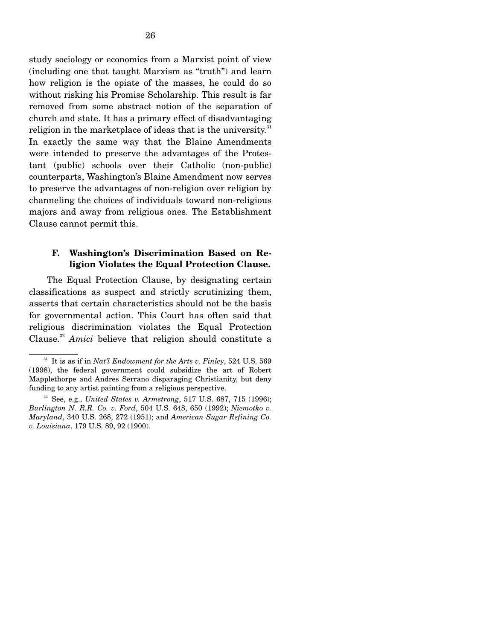study sociology or economics from a Marxist point of view (including one that taught Marxism as "truth") and learn how religion is the opiate of the masses, he could do so without risking his Promise Scholarship. This result is far removed from some abstract notion of the separation of church and state. It has a primary effect of disadvantaging religion in the marketplace of ideas that is the university.<sup>31</sup> In exactly the same way that the Blaine Amendments were intended to preserve the advantages of the Protestant (public) schools over their Catholic (non-public) counterparts, Washington's Blaine Amendment now serves to preserve the advantages of non-religion over religion by channeling the choices of individuals toward non-religious majors and away from religious ones. The Establishment Clause cannot permit this.

### **F. Washington's Discrimination Based on Religion Violates the Equal Protection Clause.**

The Equal Protection Clause, by designating certain classifications as suspect and strictly scrutinizing them, asserts that certain characteristics should not be the basis for governmental action. This Court has often said that religious discrimination violates the Equal Protection Clause.<sup>32</sup> *Amici* believe that religion should constitute a

31 It is as if in *Nat'l Endowment for the Arts v. Finley*, 524 U.S. 569 (1998), the federal government could subsidize the art of Robert Mapplethorpe and Andres Serrano disparaging Christianity, but deny funding to any artist painting from a religious perspective.

32 See, e.g., *United States v. Armstrong*, 517 U.S. 687, 715 (1996); *Burlington N. R.R. Co. v. Ford*, 504 U.S. 648, 650 (1992); *Niemotko v. Maryland*, 340 U.S. 268, 272 (1951); and *American Sugar Refining Co. v. Louisiana*, 179 U.S. 89, 92 (1900).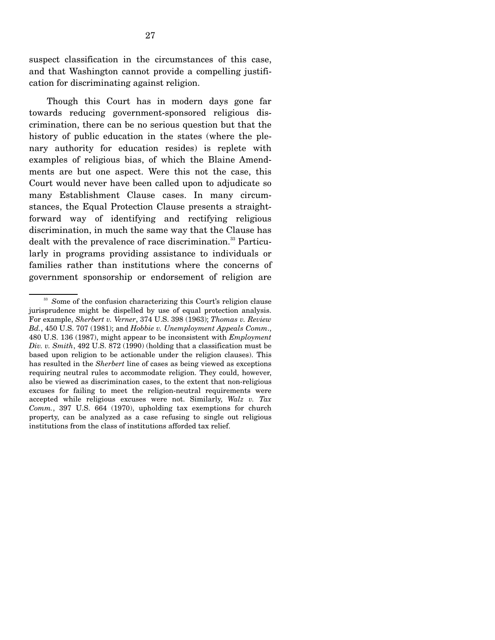suspect classification in the circumstances of this case, and that Washington cannot provide a compelling justification for discriminating against religion.

 Though this Court has in modern days gone far towards reducing government-sponsored religious discrimination, there can be no serious question but that the history of public education in the states (where the plenary authority for education resides) is replete with examples of religious bias, of which the Blaine Amendments are but one aspect. Were this not the case, this Court would never have been called upon to adjudicate so many Establishment Clause cases. In many circumstances, the Equal Protection Clause presents a straightforward way of identifying and rectifying religious discrimination, in much the same way that the Clause has dealt with the prevalence of race discrimination.<sup>33</sup> Particularly in programs providing assistance to individuals or families rather than institutions where the concerns of government sponsorship or endorsement of religion are

<sup>&</sup>lt;sup>33</sup> Some of the confusion characterizing this Court's religion clause jurisprudence might be dispelled by use of equal protection analysis. For example, *Sherbert v. Verner*, 374 U.S. 398 (1963); *Thomas v. Review Bd.*, 450 U.S. 707 (1981); and *Hobbie v. Unemployment Appeals Comm*., 480 U.S. 136 (1987), might appear to be inconsistent with *Employment Div. v. Smith*, 492 U.S. 872 (1990) (holding that a classification must be based upon religion to be actionable under the religion clauses). This has resulted in the *Sherbert* line of cases as being viewed as exceptions requiring neutral rules to accommodate religion. They could, however, also be viewed as discrimination cases, to the extent that non-religious excuses for failing to meet the religion-neutral requirements were accepted while religious excuses were not. Similarly, *Walz v. Tax Comm.*, 397 U.S. 664 (1970), upholding tax exemptions for church property, can be analyzed as a case refusing to single out religious institutions from the class of institutions afforded tax relief.